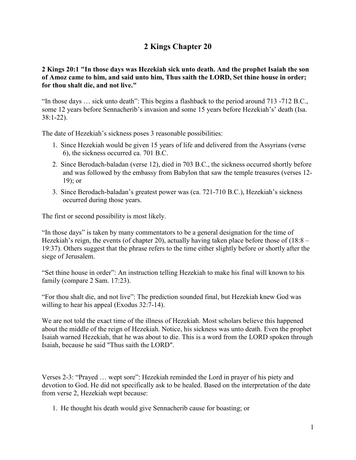# **2 Kings Chapter 20**

## **2 Kings 20:1 "In those days was Hezekiah sick unto death. And the prophet Isaiah the son of Amoz came to him, and said unto him, Thus saith the LORD, Set thine house in order; for thou shalt die, and not live."**

"In those days … sick unto death": This begins a flashback to the period around 713 -712 B.C., some 12 years before Sennacherib's invasion and some 15 years before Hezekiah's' death (Isa. 38:1-22).

The date of Hezekiah's sickness poses 3 reasonable possibilities:

- 1. Since Hezekiah would be given 15 years of life and delivered from the Assyrians (verse 6), the sickness occurred ca. 701 B.C.
- 2. Since Berodach-baladan (verse 12), died in 703 B.C., the sickness occurred shortly before and was followed by the embassy from Babylon that saw the temple treasures (verses 12- 19); or
- 3. Since Berodach-baladan's greatest power was (ca. 721-710 B.C.), Hezekiah's sickness occurred during those years.

The first or second possibility is most likely.

"In those days" is taken by many commentators to be a general designation for the time of Hezekiah's reign, the events (of chapter 20), actually having taken place before those of (18:8 – 19:37). Others suggest that the phrase refers to the time either slightly before or shortly after the siege of Jerusalem.

"Set thine house in order": An instruction telling Hezekiah to make his final will known to his family (compare 2 Sam. 17:23).

"For thou shalt die, and not live": The prediction sounded final, but Hezekiah knew God was willing to hear his appeal (Exodus 32:7-14).

We are not told the exact time of the illness of Hezekiah. Most scholars believe this happened about the middle of the reign of Hezekiah. Notice, his sickness was unto death. Even the prophet Isaiah warned Hezekiah, that he was about to die. This is a word from the LORD spoken through Isaiah, because he said "Thus saith the LORD".

Verses 2-3: "Prayed … wept sore": Hezekiah reminded the Lord in prayer of his piety and devotion to God. He did not specifically ask to be healed. Based on the interpretation of the date from verse 2, Hezekiah wept because:

1. He thought his death would give Sennacherib cause for boasting; or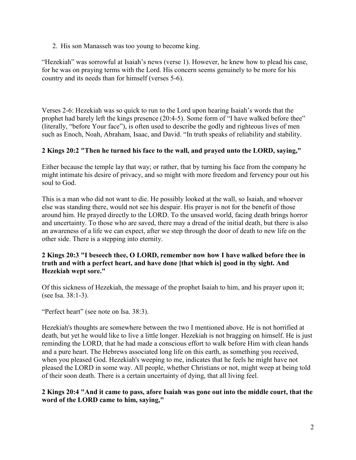2. His son Manasseh was too young to become king.

"Hezekiah" was sorrowful at Isaiah's news (verse 1). However, he knew how to plead his case, for he was on praying terms with the Lord. His concern seems genuinely to be more for his country and its needs than for himself (verses 5-6).

Verses 2-6: Hezekiah was so quick to run to the Lord upon hearing Isaiah's words that the prophet had barely left the kings presence (20:4-5). Some form of "I have walked before thee" (literally, "before Your face"), is often used to describe the godly and righteous lives of men such as Enoch, Noah, Abraham, Isaac, and David. "In truth speaks of reliability and stability.

## **2 Kings 20:2 "Then he turned his face to the wall, and prayed unto the LORD, saying,"**

Either because the temple lay that way; or rather, that by turning his face from the company he might intimate his desire of privacy, and so might with more freedom and fervency pour out his soul to God.

This is a man who did not want to die. He possibly looked at the wall, so Isaiah, and whoever else was standing there, would not see his despair. His prayer is not for the benefit of those around him. He prayed directly to the LORD. To the unsaved world, facing death brings horror and uncertainty. To those who are saved, there may a dread of the initial death, but there is also an awareness of a life we can expect, after we step through the door of death to new life on the other side. There is a stepping into eternity.

## **2 Kings 20:3 "I beseech thee, O LORD, remember now how I have walked before thee in truth and with a perfect heart, and have done [that which is] good in thy sight. And Hezekiah wept sore."**

Of this sickness of Hezekiah, the message of the prophet Isaiah to him, and his prayer upon it; (see Isa. 38:1-3).

"Perfect heart" (see note on Isa. 38:3).

Hezekiah's thoughts are somewhere between the two I mentioned above. He is not horrified at death, but yet he would like to live a little longer. Hezekiah is not bragging on himself. He is just reminding the LORD, that he had made a conscious effort to walk before Him with clean hands and a pure heart. The Hebrews associated long life on this earth, as something you received, when you pleased God. Hezekiah's weeping to me, indicates that he feels he might have not pleased the LORD in some way. All people, whether Christians or not, might weep at being told of their soon death. There is a certain uncertainty of dying, that all living feel.

#### **2 Kings 20:4 "And it came to pass, afore Isaiah was gone out into the middle court, that the word of the LORD came to him, saying,"**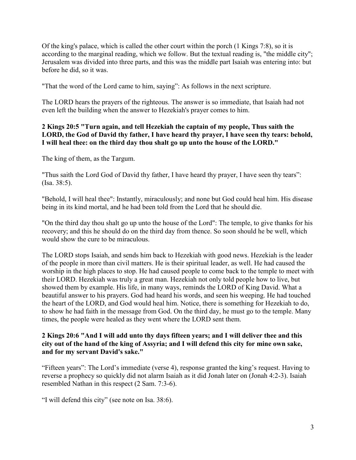Of the king's palace, which is called the other court within the porch (1 Kings 7:8), so it is according to the marginal reading, which we follow. But the textual reading is, "the middle city"; Jerusalem was divided into three parts, and this was the middle part Isaiah was entering into: but before he did, so it was.

"That the word of the Lord came to him, saying": As follows in the next scripture.

The LORD hears the prayers of the righteous. The answer is so immediate, that Isaiah had not even left the building when the answer to Hezekiah's prayer comes to him.

## **2 Kings 20:5 "Turn again, and tell Hezekiah the captain of my people, Thus saith the LORD, the God of David thy father, I have heard thy prayer, I have seen thy tears: behold, I will heal thee: on the third day thou shalt go up unto the house of the LORD."**

The king of them, as the Targum.

"Thus saith the Lord God of David thy father, I have heard thy prayer, I have seen thy tears": (Isa. 38:5).

"Behold, I will heal thee": Instantly, miraculously; and none but God could heal him. His disease being in its kind mortal, and he had been told from the Lord that he should die.

"On the third day thou shalt go up unto the house of the Lord": The temple, to give thanks for his recovery; and this he should do on the third day from thence. So soon should he be well, which would show the cure to be miraculous.

The LORD stops Isaiah, and sends him back to Hezekiah with good news. Hezekiah is the leader of the people in more than civil matters. He is their spiritual leader, as well. He had caused the worship in the high places to stop. He had caused people to come back to the temple to meet with their LORD. Hezekiah was truly a great man. Hezekiah not only told people how to live, but showed them by example. His life, in many ways, reminds the LORD of King David. What a beautiful answer to his prayers. God had heard his words, and seen his weeping. He had touched the heart of the LORD, and God would heal him. Notice, there is something for Hezekiah to do, to show he had faith in the message from God. On the third day, he must go to the temple. Many times, the people were healed as they went where the LORD sent them.

#### **2 Kings 20:6 "And I will add unto thy days fifteen years; and I will deliver thee and this city out of the hand of the king of Assyria; and I will defend this city for mine own sake, and for my servant David's sake."**

"Fifteen years": The Lord's immediate (verse 4), response granted the king's request. Having to reverse a prophecy so quickly did not alarm Isaiah as it did Jonah later on (Jonah 4:2-3). Isaiah resembled Nathan in this respect (2 Sam. 7:3-6).

"I will defend this city" (see note on Isa. 38:6).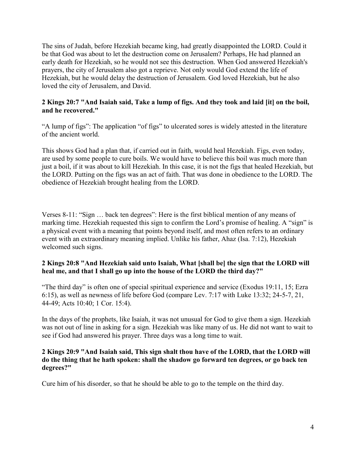The sins of Judah, before Hezekiah became king, had greatly disappointed the LORD. Could it be that God was about to let the destruction come on Jerusalem? Perhaps, He had planned an early death for Hezekiah, so he would not see this destruction. When God answered Hezekiah's prayers, the city of Jerusalem also got a reprieve. Not only would God extend the life of Hezekiah, but he would delay the destruction of Jerusalem. God loved Hezekiah, but he also loved the city of Jerusalem, and David.

## **2 Kings 20:7 "And Isaiah said, Take a lump of figs. And they took and laid [it] on the boil, and he recovered."**

"A lump of figs": The application "of figs" to ulcerated sores is widely attested in the literature of the ancient world.

This shows God had a plan that, if carried out in faith, would heal Hezekiah. Figs, even today, are used by some people to cure boils. We would have to believe this boil was much more than just a boil, if it was about to kill Hezekiah. In this case, it is not the figs that healed Hezekiah, but the LORD. Putting on the figs was an act of faith. That was done in obedience to the LORD. The obedience of Hezekiah brought healing from the LORD.

Verses 8-11: "Sign … back ten degrees": Here is the first biblical mention of any means of marking time. Hezekiah requested this sign to confirm the Lord's promise of healing. A "sign" is a physical event with a meaning that points beyond itself, and most often refers to an ordinary event with an extraordinary meaning implied. Unlike his father, Ahaz (Isa. 7:12), Hezekiah welcomed such signs.

## **2 Kings 20:8 "And Hezekiah said unto Isaiah, What [shall be] the sign that the LORD will heal me, and that I shall go up into the house of the LORD the third day?"**

"The third day" is often one of special spiritual experience and service (Exodus 19:11, 15; Ezra 6:15), as well as newness of life before God (compare Lev. 7:17 with Luke 13:32; 24-5-7, 21, 44-49; Acts 10:40; 1 Cor. 15:4).

In the days of the prophets, like Isaiah, it was not unusual for God to give them a sign. Hezekiah was not out of line in asking for a sign. Hezekiah was like many of us. He did not want to wait to see if God had answered his prayer. Three days was a long time to wait.

#### **2 Kings 20:9 "And Isaiah said, This sign shalt thou have of the LORD, that the LORD will do the thing that he hath spoken: shall the shadow go forward ten degrees, or go back ten degrees?"**

Cure him of his disorder, so that he should be able to go to the temple on the third day.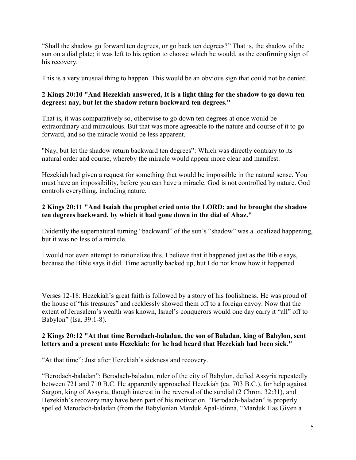"Shall the shadow go forward ten degrees, or go back ten degrees?" That is, the shadow of the sun on a dial plate; it was left to his option to choose which he would, as the confirming sign of his recovery.

This is a very unusual thing to happen. This would be an obvious sign that could not be denied.

## **2 Kings 20:10 "And Hezekiah answered, It is a light thing for the shadow to go down ten degrees: nay, but let the shadow return backward ten degrees."**

That is, it was comparatively so, otherwise to go down ten degrees at once would be extraordinary and miraculous. But that was more agreeable to the nature and course of it to go forward, and so the miracle would be less apparent.

"Nay, but let the shadow return backward ten degrees": Which was directly contrary to its natural order and course, whereby the miracle would appear more clear and manifest.

Hezekiah had given a request for something that would be impossible in the natural sense. You must have an impossibility, before you can have a miracle. God is not controlled by nature. God controls everything, including nature.

## **2 Kings 20:11 "And Isaiah the prophet cried unto the LORD: and he brought the shadow ten degrees backward, by which it had gone down in the dial of Ahaz."**

Evidently the supernatural turning "backward" of the sun's "shadow" was a localized happening, but it was no less of a miracle.

I would not even attempt to rationalize this. I believe that it happened just as the Bible says, because the Bible says it did. Time actually backed up, but I do not know how it happened.

Verses 12-18: Hezekiah's great faith is followed by a story of his foolishness. He was proud of the house of "his treasures" and recklessly showed them off to a foreign envoy. Now that the extent of Jerusalem's wealth was known, Israel's conquerors would one day carry it "all" off to Babylon" (Isa. 39:1-8).

## **2 Kings 20:12 "At that time Berodach-baladan, the son of Baladan, king of Babylon, sent letters and a present unto Hezekiah: for he had heard that Hezekiah had been sick."**

"At that time": Just after Hezekiah's sickness and recovery.

"Berodach-baladan": Berodach-baladan, ruler of the city of Babylon, defied Assyria repeatedly between 721 and 710 B.C. He apparently approached Hezekiah (ca. 703 B.C.), for help against Sargon, king of Assyria, though interest in the reversal of the sundial (2 Chron. 32:31), and Hezekiah's recovery may have been part of his motivation. "Berodach-baladan" is properly spelled Merodach-baladan (from the Babylonian Marduk Apal-Idinna, "Marduk Has Given a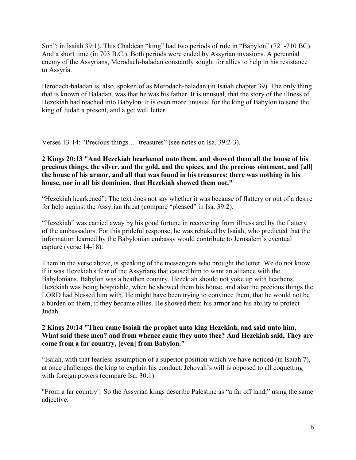Son"; in Isaiah 39:1). This Chaldean "king" had two periods of rule in "Babylon" (721-710 BC). And a short time (in 703 B.C.). Both periods were ended by Assyrian invasions. A perennial enemy of the Assyrians, Merodach-baladan constantly sought for allies to help in his resistance to Assyria.

Berodach-baladan is, also, spoken of as Merodach-baladan (in Isaiah chapter 39). The only thing that is known of Baladan, was that he was his father. It is unusual, that the story of the illness of Hezekiah had reached into Babylon. It is even more unusual for the king of Babylon to send the king of Judah a present, and a get well letter.

Verses 13-14: "Precious things … treasures" (see notes on Isa. 39:2-3).

#### **2 Kings 20:13 "And Hezekiah hearkened unto them, and showed them all the house of his precious things, the silver, and the gold, and the spices, and the precious ointment, and [all] the house of his armor, and all that was found in his treasures: there was nothing in his house, nor in all his dominion, that Hezekiah showed them not."**

"Hezekiah hearkened": The text does not say whether it was because of flattery or out of a desire for help against the Assyrian threat (compare "pleased" in Isa. 39:2).

"Hezekiah" was carried away by his good fortune in recovering from illness and by the flattery of the ambassadors. For this prideful response, he was rebuked by Isaiah, who predicted that the information learned by the Babylonian embassy would contribute to Jerusalem's eventual capture (verse 14-18).

Them in the verse above, is speaking of the messengers who brought the letter. We do not know if it was Hezekiah's fear of the Assyrians that caused him to want an alliance with the Babylonians. Babylon was a heathen country. Hezekiah should not yoke up with heathens. Hezekiah was being hospitable, when he showed them his house, and also the precious things the LORD had blessed him with. He might have been trying to convince them, that he would not be a burden on them, if they became allies. He showed them his armor and his ability to protect Judah.

## **2 Kings 20:14 "Then came Isaiah the prophet unto king Hezekiah, and said unto him, What said these men? and from whence came they unto thee? And Hezekiah said, They are come from a far country, [even] from Babylon."**

"Isaiah, with that fearless assumption of a superior position which we have noticed (in Isaiah 7), at once challenges the king to explain his conduct. Jehovah's will is opposed to all coquetting with foreign powers (compare Isa. 30:1).

"From a far country": So the Assyrian kings describe Palestine as "a far off land," using the same adjective.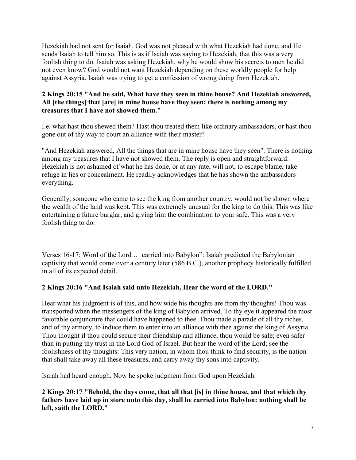Hezekiah had not sent for Isaiah. God was not pleased with what Hezekiah had done, and He sends Isaiah to tell him so. This is as if Isaiah was saying to Hezekiah, that this was a very foolish thing to do. Isaiah was asking Hezekiah, why he would show his secrets to men he did not even know? God would not want Hezekiah depending on these worldly people for help against Assyria. Isaiah was trying to get a confession of wrong doing from Hezekiah.

## **2 Kings 20:15 "And he said, What have they seen in thine house? And Hezekiah answered, All [the things] that [are] in mine house have they seen: there is nothing among my treasures that I have not showed them."**

I.e. what hast thou shewed them? Hast thou treated them like ordinary ambassadors, or hast thou gone out of thy way to court an alliance with their master?

"And Hezekiah answered, All the things that are in mine house have they seen": There is nothing among my treasures that I have not showed them. The reply is open and straightforward. Hezekiah is not ashamed of what he has done, or at any rate, will not, to escape blame, take refuge in lies or concealment. He readily acknowledges that he has shown the ambassadors everything.

Generally, someone who came to see the king from another country, would not be shown where the wealth of the land was kept. This was extremely unusual for the king to do this. This was like entertaining a future burglar, and giving him the combination to your safe. This was a very foolish thing to do.

Verses 16-17: Word of the Lord … carried into Babylon": Isaiah predicted the Babylonian captivity that would come over a century later (586 B.C.), another prophecy historically fulfilled in all of its expected detail.

# **2 Kings 20:16 "And Isaiah said unto Hezekiah, Hear the word of the LORD."**

Hear what his judgment is of this, and how wide his thoughts are from thy thoughts! Thou was transported when the messengers of the king of Babylon arrived. To thy eye it appeared the most favorable conjuncture that could have happened to thee. Thou made a parade of all thy riches, and of thy armory, to induce them to enter into an alliance with thee against the king of Assyria. Thou thought if thou could secure their friendship and alliance, thou would be safe; even safer than in putting thy trust in the Lord God of Israel. But hear the word of the Lord; see the foolishness of thy thoughts: This very nation, in whom thou think to find security, is the nation that shall take away all these treasures, and carry away thy sons into captivity.

Isaiah had heard enough. Now he spoke judgment from God upon Hezekiah.

**2 Kings 20:17 "Behold, the days come, that all that [is] in thine house, and that which thy fathers have laid up in store unto this day, shall be carried into Babylon: nothing shall be left, saith the LORD."**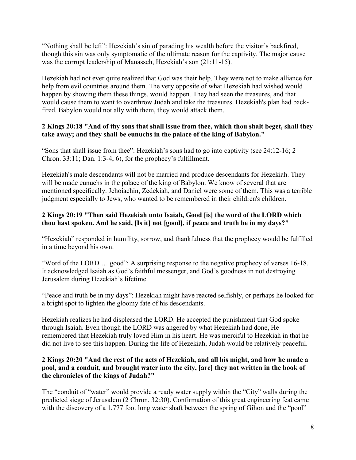"Nothing shall be left": Hezekiah's sin of parading his wealth before the visitor's backfired, though this sin was only symptomatic of the ultimate reason for the captivity. The major cause was the corrupt leadership of Manasseh, Hezekiah's son (21:11-15).

Hezekiah had not ever quite realized that God was their help. They were not to make alliance for help from evil countries around them. The very opposite of what Hezekiah had wished would happen by showing them these things, would happen. They had seen the treasures, and that would cause them to want to overthrow Judah and take the treasures. Hezekiah's plan had backfired. Babylon would not ally with them, they would attack them.

## **2 Kings 20:18 "And of thy sons that shall issue from thee, which thou shalt beget, shall they take away; and they shall be eunuchs in the palace of the king of Babylon."**

"Sons that shall issue from thee": Hezekiah's sons had to go into captivity (see 24:12-16; 2 Chron. 33:11; Dan. 1:3-4, 6), for the prophecy's fulfillment.

Hezekiah's male descendants will not be married and produce descendants for Hezekiah. They will be made eunuchs in the palace of the king of Babylon. We know of several that are mentioned specifically. Jehoiachin, Zedekiah, and Daniel were some of them. This was a terrible judgment especially to Jews, who wanted to be remembered in their children's children.

## **2 Kings 20:19 "Then said Hezekiah unto Isaiah, Good [is] the word of the LORD which thou hast spoken. And he said, [Is it] not [good], if peace and truth be in my days?"**

"Hezekiah" responded in humility, sorrow, and thankfulness that the prophecy would be fulfilled in a time beyond his own.

"Word of the LORD … good": A surprising response to the negative prophecy of verses 16-18. It acknowledged Isaiah as God's faithful messenger, and God's goodness in not destroying Jerusalem during Hezekiah's lifetime.

"Peace and truth be in my days": Hezekiah might have reacted selfishly, or perhaps he looked for a bright spot to lighten the gloomy fate of his descendants.

Hezekiah realizes he had displeased the LORD. He accepted the punishment that God spoke through Isaiah. Even though the LORD was angered by what Hezekiah had done, He remembered that Hezekiah truly loved Him in his heart. He was merciful to Hezekiah in that he did not live to see this happen. During the life of Hezekiah, Judah would be relatively peaceful.

## **2 Kings 20:20 "And the rest of the acts of Hezekiah, and all his might, and how he made a pool, and a conduit, and brought water into the city, [are] they not written in the book of the chronicles of the kings of Judah?"**

The "conduit of "water" would provide a ready water supply within the "City" walls during the predicted siege of Jerusalem (2 Chron. 32:30). Confirmation of this great engineering feat came with the discovery of a 1,777 foot long water shaft between the spring of Gihon and the "pool"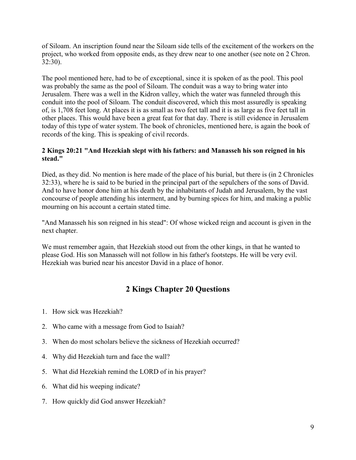of Siloam. An inscription found near the Siloam side tells of the excitement of the workers on the project, who worked from opposite ends, as they drew near to one another (see note on 2 Chron. 32:30).

The pool mentioned here, had to be of exceptional, since it is spoken of as the pool. This pool was probably the same as the pool of Siloam. The conduit was a way to bring water into Jerusalem. There was a well in the Kidron valley, which the water was funneled through this conduit into the pool of Siloam. The conduit discovered, which this most assuredly is speaking of, is 1,708 feet long. At places it is as small as two feet tall and it is as large as five feet tall in other places. This would have been a great feat for that day. There is still evidence in Jerusalem today of this type of water system. The book of chronicles, mentioned here, is again the book of records of the king. This is speaking of civil records.

## **2 Kings 20:21 "And Hezekiah slept with his fathers: and Manasseh his son reigned in his stead."**

Died, as they did. No mention is here made of the place of his burial, but there is (in 2 Chronicles 32:33), where he is said to be buried in the principal part of the sepulchers of the sons of David. And to have honor done him at his death by the inhabitants of Judah and Jerusalem, by the vast concourse of people attending his interment, and by burning spices for him, and making a public mourning on his account a certain stated time.

"And Manasseh his son reigned in his stead": Of whose wicked reign and account is given in the next chapter.

We must remember again, that Hezekiah stood out from the other kings, in that he wanted to please God. His son Manasseh will not follow in his father's footsteps. He will be very evil. Hezekiah was buried near his ancestor David in a place of honor.

# **2 Kings Chapter 20 Questions**

- 1. How sick was Hezekiah?
- 2. Who came with a message from God to Isaiah?
- 3. When do most scholars believe the sickness of Hezekiah occurred?
- 4. Why did Hezekiah turn and face the wall?
- 5. What did Hezekiah remind the LORD of in his prayer?
- 6. What did his weeping indicate?
- 7. How quickly did God answer Hezekiah?